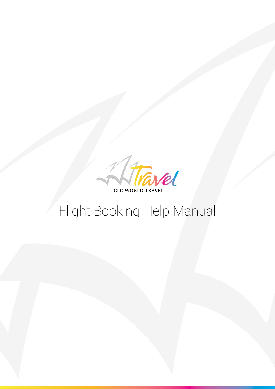

# Flight Booking Help Manual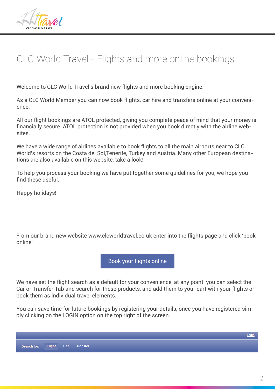

# CLC World Travel - Flights and more online bookings

Welcome to CLC World Travel's brand new flights and more booking engine.

As a CLC World Member you can now book flights, car hire and transfers online at your convenience.

All our flight bookings are ATOL protected, giving you complete peace of mind that your money is financially secure. ATOL protection is not provided when you book directly with the airline websites.

We have a wide range of airlines available to book flights to all the main airports near to CLC World's resorts on the Costa del Sol,Tenerife, Turkey and Austria. Many other European destinations are also available on this website, take a look!

To help you process your booking we have put together some guidelines for you, we hope you find these useful.

Happy holidays!

From our brand new website www.clcworldtravel.co.uk enter into the flights page and click 'book online'

Book your flights online

We have set the flight search as a default for your convenience, at any point you can select the Car or Transfer Tab and search for these products, and add them to your cart with your flights or book them as individual travel elements.

You can save time for future bookings by registering your details, once you have registered simply clicking on the LOGIN option on the top right of the screen.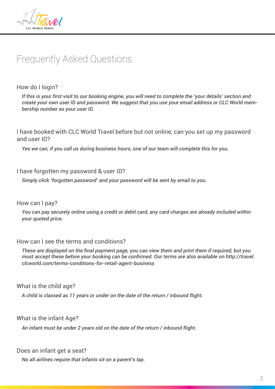

## Frequently Asked Questions

How do I login?

*If this is your first visit to our booking engine, you will need to complete the 'your details' section and create your own user ID and password. We suggest that you use your email address or CLC World membership number as your user ID.*

I have booked with CLC World Travel before but not online, can you set up my password and user ID?

*Yes we can, if you call us during business hours, one of our team will complete this for you.*

#### I have forgotten my password & user ID?

*Simply click 'forgotten password' and your password will be sent by email to you.*

#### How can I pay?

*You can pay securely online using a credit or debit card, any card charges are already included within your quoted price.*

#### How can I see the terms and conditions?

*These are displayed on the final payment page, you can view them and print them if required, but you must accept these before your booking can be confirmed. Our terms are also available on http://travel. clcworld.com/terms-conditions-for-retail-agent-business* 

#### What is the child age?

*A child is classed as 11 years or under on the date of the return / inbound flight.*

What is the infant Age?

*An infant must be under 2 years old on the date of the return / inbound flight.*

#### Does an infant get a seat?

*No all airlines require that infants sit on a parent's lap.*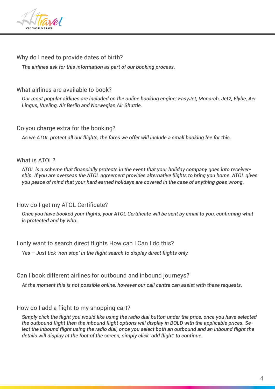

### Why do I need to provide dates of birth?

*The airlines ask for this information as part of our booking process.*

#### What airlines are available to book?

*Our most popular airlines are included on the online booking engine; EasyJet, Monarch, Jet2, Flybe, Aer Lingus, Vueling, Air Berlin and Norwegian Air Shuttle.*

#### Do you charge extra for the booking?

*As we ATOL protect all our flights, the fares we offer will include a small booking fee for this.*

#### What is ATOL?

*ATOL is a scheme that financially protects in the event that your holiday company goes into receivership. If you are overseas the ATOL agreement provides alternative flights to bring you home. ATOL gives you peace of mind that your hard earned holidays are covered in the case of anything goes wrong.*

#### How do I get my ATOL Certificate?

*Once you have booked your flights, your ATOL Certificate will be sent by email to you, confirming what is protected and by who.*

I only want to search direct flights How can I Can I do this?

*Yes – Just tick 'non stop' in the flight search to display direct flights only.*

Can I book different airlines for outbound and inbound journeys?

*At the moment this is not possible online, however our call centre can assist with these requests.*

#### How do I add a flight to my shopping cart?

*Simply click the flight you would like using the radio dial button under the price, once you have selected the outbound flight then the inbound flight options will display in BOLD with the applicable prices. Select the inbound flight using the radio dial, once you select both an outbound and an inbound flight the details will display at the foot of the screen, simply click 'add flight' to continue.*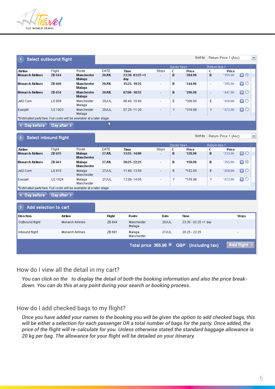

| Select outbound flight                                                |                         |                               |                      | Sort by                        |             |              |                               |               | Return Price 1 (Asc)<br>v |                |              |
|-----------------------------------------------------------------------|-------------------------|-------------------------------|----------------------|--------------------------------|-------------|--------------|-------------------------------|---------------|---------------------------|----------------|--------------|
|                                                                       |                         |                               |                      |                                |             | Sector fare1 |                               | Return fare 1 |                           |                |              |
| Airline                                                               | Flight                  | Route                         | DATE                 | <b>Time</b>                    | Stops       | c            | Price                         | c             | Price                     |                |              |
| <b>Monarch Airlines</b>                                               | ZB 644                  | Manchester<br>Malaga          | <b>20JUL</b>         | 23:30-03:25+1<br>dav           |             | B            | *204.98                       | в             | *355.96                   | 0 <sup>o</sup> |              |
| <b>Monarch Airlines</b>                                               | ZB 660                  | Manchester<br>Malaga          | 20JUL                | 15:25 19:25                    |             | в            | *244.98                       | $\bar{a}$     | *395.96                   | $\blacksquare$ |              |
| <b>Monarch Airlines</b>                                               | ZB 654                  | Manchester<br>Malaga          | <b>20JUL</b>         | 07:00 10:55                    | ÷,          | B            | *296.98                       | ä,            | *447.96                   | 日〇             |              |
| Jet2.Com                                                              | LS 809                  | Manchester<br>Malaga          | 20JUL                | 06:40-10:40                    |             | E            | *306.00                       | E             | *458.00                   | $\blacksquare$ |              |
| Easyjet                                                               | U21923                  | Manchester<br>Malaga          | 20JUL                | 07:25-11:20                    |             | Υ            | *316.98                       | Y             | *472.96                   | 0 <sup>o</sup> |              |
| *Estimated party fare. Full costs will be available at a later stage. |                         |                               |                      |                                |             |              |                               |               |                           |                |              |
| Day before<br>c                                                       | Day after >             |                               | ß                    |                                |             |              |                               |               |                           |                |              |
| <b>Select inbound flight</b><br>$\overline{2}$                        |                         |                               |                      |                                |             |              | Sort by                       |               | Return Price 1 (Asc)      |                | $\checkmark$ |
|                                                                       |                         |                               |                      |                                |             |              |                               |               |                           |                |              |
|                                                                       |                         |                               |                      |                                |             |              | Sector fare1                  |               | Return fare 1             |                |              |
| Airline<br><b>Monarch Airlines</b>                                    | Flight<br>ZB 655        | Route<br>Malaga<br>Manchester | DATE<br><b>27JUL</b> | <b>Time</b><br>11:55-14:00     | Stops<br>÷, | c<br>B       | Price<br>*128.98              | c<br>в        | Price<br>*333.96          | 0 <sup>o</sup> | ٨            |
| <b>Monarch Airlines</b>                                               | ZB 661                  | Malaga<br>Manchester          | 27JUL                | 20:25 22:25                    | ÷           | в            | *150.98                       | в             | *355.96                   | $\blacksquare$ |              |
| Jet2.Com                                                              | LS 810                  | Malaga<br>Manchester          | 27JUL                | 11:40-13:50                    |             | E            | *152.00                       | Ε             | *458.00                   | 日〇             |              |
| Easyjet                                                               | U2 1924                 | Malaga<br>Manchester          | 27JUL                | 12:00-14:05                    |             | Υ            | *155.98                       | Y.            | *472.96                   | $\blacksquare$ |              |
| *Estimated party fare. Full costs will be available at a later stage. |                         |                               |                      |                                |             |              |                               |               |                           |                |              |
| < Day before                                                          | Day after >             |                               |                      |                                |             |              |                               |               |                           |                |              |
| Add selection to cart<br>3                                            |                         |                               |                      |                                |             |              |                               |               |                           |                |              |
| <b>Direction</b>                                                      | Airline                 |                               | Flight               | Route                          | Date        |              | <b>Time</b>                   |               |                           | Stops          |              |
| Outbound flight:                                                      | <b>Monarch Airlines</b> |                               | ZB 644               | Manchester<br>Malaga           | 20JUL       |              | 23:30 - 03:25 +1 day          |               |                           |                |              |
| Inbound flight:                                                       | <b>Monarch Airlines</b> |                               | ZB 661               | Malaga<br>Manchester           | 27JUL       |              | 20:25 - 22:25                 |               |                           |                |              |
|                                                                       |                         |                               |                      | Total price $355.96$ $\approx$ |             |              | <b>GBP</b><br>(Including tax) |               |                           | Add flight >   |              |

#### How do I view all the detail in my cart?

*You can click on the to display the detail of both the booking information and also the price breakdown. You can do this at any point during your search or booking process.*

#### How do I add checked bags to my flight?

*Once you have added your names to the booking you will be given the option to add checked bags, this will be either a selection for each passenger OR a total number of bags for the party. Once added, the price of the flight will re-calculate for you. Unless otherwise stated the standard baggage allowance is 20 kg per bag. The allowance for your flight will be detailed on your itinerary.*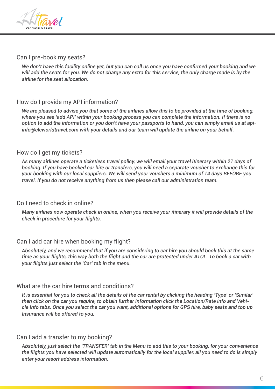

#### Can I pre-book my seats?

*We don't have this facility online yet, but you can call us once you have confirmed your booking and we will add the seats for you. We do not charge any extra for this service, the only charge made is by the airline for the seat allocation.*

#### How do I provide my API information?

*We are pleased to advise you that some of the airlines allow this to be provided at the time of booking, where you see 'add API' within your booking process you can complete the information. If there is no option to add the information or you don't have your passports to hand, you can simply email us at apiinfo@clcworldtravel.com with your details and our team will update the airline on your behalf.*

#### How do I get my tickets?

*As many airlines operate a ticketless travel policy, we will email your travel itinerary within 21 days of booking. If you have booked car hire or transfers, you will need a separate voucher to exchange this for your booking with our local suppliers. We will send your vouchers a minimum of 14 days BEFORE you travel. If you do not receive anything from us then please call our administration team.*

#### Do I need to check in online?

*Many airlines now operate check in online, when you receive your itinerary it will provide details of the check in procedure for your flights.*

#### Can I add car hire when booking my flight?

*Absolutely, and we recommend that if you are considering to car hire you should book this at the same time as your flights, this way both the flight and the car are protected under ATOL. To book a car with your flights just select the 'Car' tab in the menu.* 

#### What are the car hire terms and conditions?

*It is essential for you to check all the details of the car rental by clicking the heading 'Type' or 'Similar' then click on the car you require, to obtain further information click the Location/Rate info and Vehicle Info tabs. Once you select the car you want, additional options for GPS hire, baby seats and top up Insurance will be offered to you.*

#### Can I add a transfer to my booking?

*Absolutely, just select the 'TRANSFER' tab in the Menu to add this to your booking, for your convenience the flights you have selected will update automatically for the local supplier, all you need to do is simply enter your resort address information.*